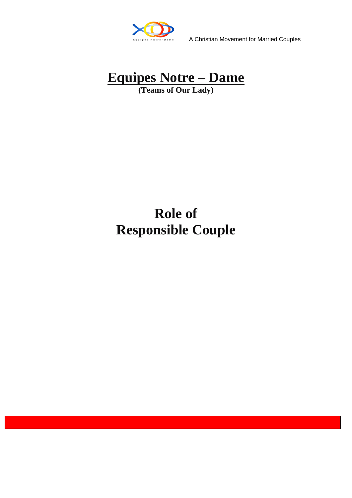

A Christian Movement for Married Couples

# **Equipes Notre – Dame**

**(Teams of Our Lady)**

## **Role of Responsible Couple**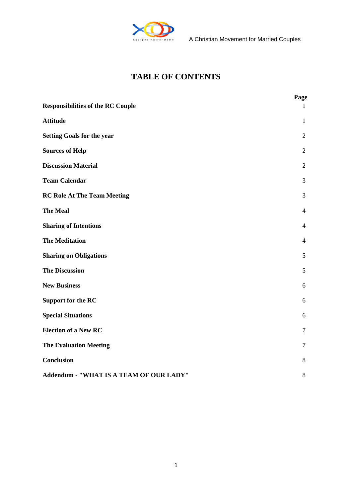

### **TABLE OF CONTENTS**

| <b>Responsibilities of the RC Couple</b> | Page<br>$\mathbf{1}$ |
|------------------------------------------|----------------------|
| <b>Attitude</b>                          | $\mathbf{1}$         |
| <b>Setting Goals for the year</b>        | $\overline{2}$       |
| <b>Sources of Help</b>                   | $\overline{2}$       |
| <b>Discussion Material</b>               | $\overline{2}$       |
| <b>Team Calendar</b>                     | 3                    |
| <b>RC Role At The Team Meeting</b>       | 3                    |
| <b>The Meal</b>                          | $\overline{4}$       |
| <b>Sharing of Intentions</b>             | $\overline{4}$       |
| <b>The Meditation</b>                    | $\overline{4}$       |
| <b>Sharing on Obligations</b>            | 5                    |
| <b>The Discussion</b>                    | 5                    |
| <b>New Business</b>                      | 6                    |
| <b>Support for the RC</b>                | 6                    |
| <b>Special Situations</b>                | 6                    |
| <b>Election of a New RC</b>              | $\tau$               |
| <b>The Evaluation Meeting</b>            | $\tau$               |
| <b>Conclusion</b>                        | 8                    |
| Addendum - "WHAT IS A TEAM OF OUR LADY"  | 8                    |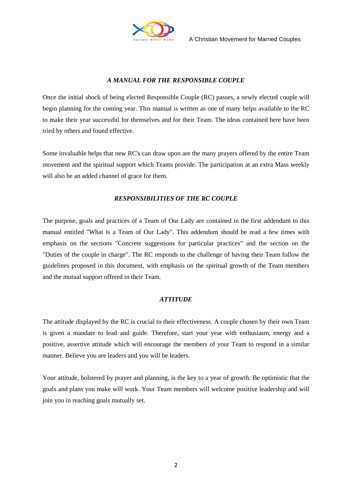

#### *A MANUAL FOR THE RESPONSIBLE COUPLE*

Once the initial shock of being elected Responsible Couple (RC) passes, a newly elected couple will begin planning for the coming year. This manual is written as one of many helps available to the RC to make their year successful for themselves and for their Team. The ideas contained here have been tried by others and found effective.

Some invaluable helps that new RC's can draw upon are the many prayers offered by the entire Team movement and the spiritual support which Teams provide. The participation at an extra Mass weekly will also be an added channel of grace for them.

#### *RESPONSIBILITIES OF THE RC COUPLE*

The purpose, goals and practices of a Team of Our Lady are contained in the first addendum to this manual entitled "What is a Team of Our Lady". This addendum should be read a few times with emphasis on the sections "Concrete suggestions for particular practices" and the section on the "Duties of the couple in charge". The RC responds to the challenge of having their Team follow the guidelines proposed in this document, with emphasis on the spiritual growth of the Team members and the mutual support offered in their Team.

#### *ATTITUDE*

The attitude displayed by the RC is crucial to their effectiveness. A couple chosen by their own Team is given a mandate to lead and guide. Therefore, start your year with enthusiasm, energy and a positive, assertive attitude which will encourage the members of your Team to respond in a similar manner. Believe you are leaders and you will be leaders.

Your attitude, bolstered by prayer and planning, is the key to a year of growth. Be optimistic that the goals and plans you make will work. Your Team members will welcome positive leadership and will join you in reaching goals mutually set.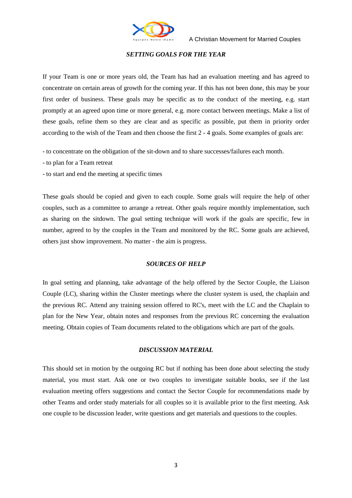

#### *SETTING GOALS FOR THE YEAR*

If your Team is one or more years old, the Team has had an evaluation meeting and has agreed to concentrate on certain areas of growth for the coming year. If this has not been done, this may be your first order of business. These goals may be specific as to the conduct of the meeting, e.g. start promptly at an agreed upon time or more general, e.g. more contact between meetings. Make a list of these goals, refine them so they are clear and as specific as possible, put them in priority order according to the wish of the Team and then choose the first 2 - 4 goals. Some examples of goals are:

- to concentrate on the obligation of the sit-down and to share successes/failures each month.
- to plan for a Team retreat
- to start and end the meeting at specific times

These goals should be copied and given to each couple. Some goals will require the help of other couples, such as a committee to arrange a retreat. Other goals require monthly implementation, such as sharing on the sitdown. The goal setting technique will work if the goals are specific, few in number, agreed to by the couples in the Team and monitored by the RC. Some goals are achieved, others just show improvement. No matter - the aim is progress.

#### *SOURCES OF HELP*

In goal setting and planning, take advantage of the help offered by the Sector Couple, the Liaison Couple (LC), sharing within the Cluster meetings where the cluster system is used, the chaplain and the previous RC. Attend any training session offered to RC's, meet with the LC and the Chaplain to plan for the New Year, obtain notes and responses from the previous RC concerning the evaluation meeting. Obtain copies of Team documents related to the obligations which are part of the goals.

#### *DISCUSSION MATERIAL*

This should set in motion by the outgoing RC but if nothing has been done about selecting the study material, you must start. Ask one or two couples to investigate suitable books, see if the last evaluation meeting offers suggestions and contact the Sector Couple for recommendations made by other Teams and order study materials for all couples so it is available prior to the first meeting. Ask one couple to be discussion leader, write questions and get materials and questions to the couples.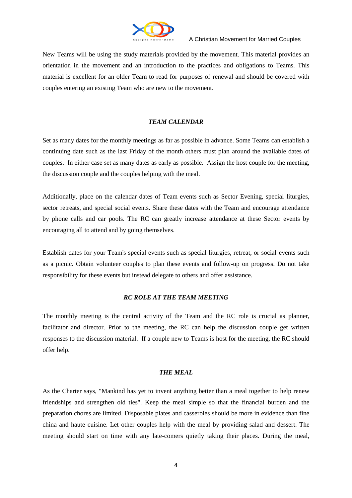

New Teams will be using the study materials provided by the movement. This material provides an orientation in the movement and an introduction to the practices and obligations to Teams. This material is excellent for an older Team to read for purposes of renewal and should be covered with couples entering an existing Team who are new to the movement.

#### *TEAM CALENDAR*

Set as many dates for the monthly meetings as far as possible in advance. Some Teams can establish a continuing date such as the last Friday of the month others must plan around the available dates of couples. In either case set as many dates as early as possible. Assign the host couple for the meeting, the discussion couple and the couples helping with the meal.

Additionally, place on the calendar dates of Team events such as Sector Evening, special liturgies, sector retreats, and special social events. Share these dates with the Team and encourage attendance by phone calls and car pools. The RC can greatly increase attendance at these Sector events by encouraging all to attend and by going themselves.

Establish dates for your Team's special events such as special liturgies, retreat, or social events such as a picnic. Obtain volunteer couples to plan these events and follow-up on progress. Do not take responsibility for these events but instead delegate to others and offer assistance.

#### *RC ROLE AT THE TEAM MEETING*

The monthly meeting is the central activity of the Team and the RC role is crucial as planner, facilitator and director. Prior to the meeting, the RC can help the discussion couple get written responses to the discussion material. If a couple new to Teams is host for the meeting, the RC should offer help.

#### *THE MEAL*

As the Charter says, "Mankind has yet to invent anything better than a meal together to help renew friendships and strengthen old ties". Keep the meal simple so that the financial burden and the preparation chores are limited. Disposable plates and casseroles should be more in evidence than fine china and haute cuisine. Let other couples help with the meal by providing salad and dessert. The meeting should start on time with any late-comers quietly taking their places. During the meal,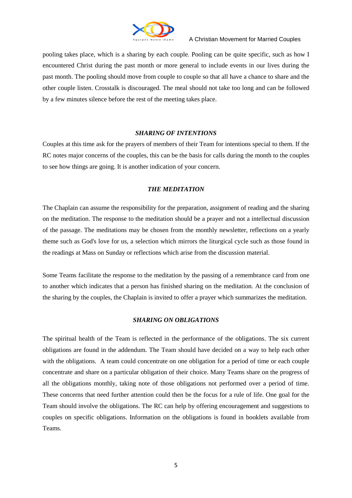

pooling takes place, which is a sharing by each couple. Pooling can be quite specific, such as how I encountered Christ during the past month or more general to include events in our lives during the past month. The pooling should move from couple to couple so that all have a chance to share and the other couple listen. Crosstalk is discouraged. The meal should not take too long and can be followed by a few minutes silence before the rest of the meeting takes place.

#### *SHARING OF INTENTIONS*

Couples at this time ask for the prayers of members of their Team for intentions special to them. If the RC notes major concerns of the couples, this can be the basis for calls during the month to the couples to see how things are going. It is another indication of your concern.

#### *THE MEDITATION*

The Chaplain can assume the responsibility for the preparation, assignment of reading and the sharing on the meditation. The response to the meditation should be a prayer and not a intellectual discussion of the passage. The meditations may be chosen from the monthly newsletter, reflections on a yearly theme such as God's love for us, a selection which mirrors the liturgical cycle such as those found in the readings at Mass on Sunday or reflections which arise from the discussion material.

Some Teams facilitate the response to the meditation by the passing of a remembrance card from one to another which indicates that a person has finished sharing on the meditation. At the conclusion of the sharing by the couples, the Chaplain is invited to offer a prayer which summarizes the meditation.

#### *SHARING ON OBLIGATIONS*

The spiritual health of the Team is reflected in the performance of the obligations. The six current obligations are found in the addendum. The Team should have decided on a way to help each other with the obligations. A team could concentrate on one obligation for a period of time or each couple concentrate and share on a particular obligation of their choice. Many Teams share on the progress of all the obligations monthly, taking note of those obligations not performed over a period of time. These concerns that need further attention could then be the focus for a rule of life. One goal for the Team should involve the obligations. The RC can help by offering encouragement and suggestions to couples on specific obligations. Information on the obligations is found in booklets available from Teams.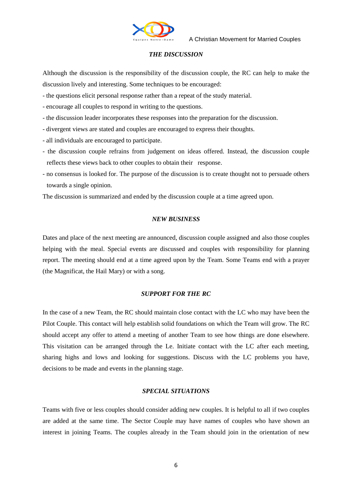

#### *THE DISCUSSION*

Although the discussion is the responsibility of the discussion couple, the RC can help to make the discussion lively and interesting. Some techniques to be encouraged:

- the questions elicit personal response rather than a repeat of the study material.
- encourage all couples to respond in writing to the questions.
- the discussion leader incorporates these responses into the preparation for the discussion.
- divergent views are stated and couples are encouraged to express their thoughts.
- all individuals are encouraged to participate.
- the discussion couple refrains from judgement on ideas offered. Instead, the discussion couple reflects these views back to other couples to obtain their response.
- no consensus is looked for. The purpose of the discussion is to create thought not to persuade others towards a single opinion.

The discussion is summarized and ended by the discussion couple at a time agreed upon.

#### *NEW BUSINESS*

Dates and place of the next meeting are announced, discussion couple assigned and also those couples helping with the meal. Special events are discussed and couples with responsibility for planning report. The meeting should end at a time agreed upon by the Team. Some Teams end with a prayer (the Magnificat, the Hail Mary) or with a song.

#### *SUPPORT FOR THE RC*

In the case of a new Team, the RC should maintain close contact with the LC who may have been the Pilot Couple. This contact will help establish solid foundations on which the Team will grow. The RC should accept any offer to attend a meeting of another Team to see how things are done elsewhere. This visitation can be arranged through the Le. Initiate contact with the LC after each meeting, sharing highs and lows and looking for suggestions. Discuss with the LC problems you have, decisions to be made and events in the planning stage.

#### *SPECIAL SITUATIONS*

Teams with five or less couples should consider adding new couples. It is helpful to all if two couples are added at the same time. The Sector Couple may have names of couples who have shown an interest in joining Teams. The couples already in the Team should join in the orientation of new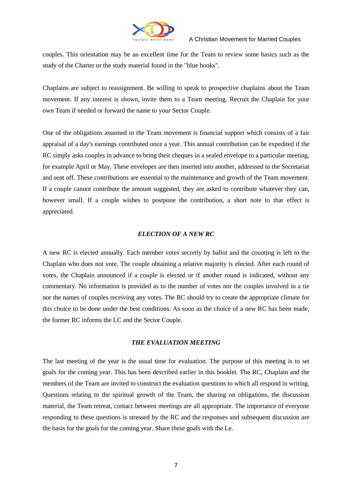

couples. This orientation may be an excellent time for the Team to review some basics such as the study of the Charter or the study material found in the "blue books".

Chaplains are subject to reassignment. Be willing to speak to prospective chaplains about the Team movement. If any interest is shown, invite them to a Team meeting. Recruit the Chaplain for your own Team if needed or forward the name to your Sector Couple.

One of the obligations assumed in the Team movement is financial support which consists of a fair appraisal of a day's earnings contributed once a year. This annual contribution can be expedited if the RC simply asks couples in advance to bring their cheques in a sealed envelope to a particular meeting, for example April or May. These envelopes are then inserted into another, addressed to the Secretariat and sent off. These contributions are essential to the maintenance and growth of the Team movement. If a couple cannot contribute the amount suggested, they are asked to contribute whatever they can, however small. If a couple wishes to postpone the contribution, a short note to that effect is appreciated.

#### *ELECTION OF A NEW RC*

A new RC is elected annually. Each member votes secretly by ballot and the counting is left to the Chaplain who does not vote. The couple obtaining a relative majority is elected. After each round of votes, the Chaplain announced if a couple is elected or if another round is indicated, without any commentary. No information is provided as to the number of votes nor the couples involved in a tie nor the names of couples receiving any votes. The RC should try to create the appropriate climate for this choice to be done under the best conditions. As soon as the choice of a new RC has been made, the former RC informs the LC and the Sector Couple.

#### *THE EVALUATION MEETING*

The last meeting of the year is the usual time for evaluation. The purpose of this meeting is to set goals for the coming year. This has been described earlier in this booklet. The RC, Chaplain and the members of the Team are invited to construct the evaluation questions to which all respond in writing. Questions relating to the spiritual growth of the Team, the sharing on obligations, the discussion material, the Team retreat, contact between meetings are all appropriate. The importance of everyone responding to these questions is stressed by the RC and the responses and subsequent discussion are the basis for the goals for the coming year. Share these goals with the Le.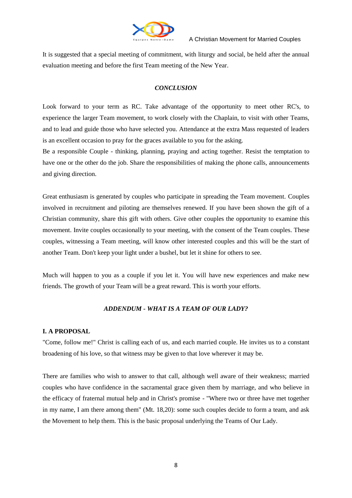

It is suggested that a special meeting of commitment, with liturgy and social, be held after the annual evaluation meeting and before the first Team meeting of the New Year.

#### *CONCLUSION*

Look forward to your term as RC. Take advantage of the opportunity to meet other RC's, to experience the larger Team movement, to work closely with the Chaplain, to visit with other Teams, and to lead and guide those who have selected you. Attendance at the extra Mass requested of leaders is an excellent occasion to pray for the graces available to you for the asking.

Be a responsible Couple - thinking, planning, praying and acting together. Resist the temptation to have one or the other do the job. Share the responsibilities of making the phone calls, announcements and giving direction.

Great enthusiasm is generated by couples who participate in spreading the Team movement. Couples involved in recruitment and piloting are themselves renewed. If you have been shown the gift of a Christian community, share this gift with others. Give other couples the opportunity to examine this movement. Invite couples occasionally to your meeting, with the consent of the Team couples. These couples, witnessing a Team meeting, will know other interested couples and this will be the start of another Team. Don't keep your light under a bushel, but let it shine for others to see.

Much will happen to you as a couple if you let it. You will have new experiences and make new friends. The growth of your Team will be a great reward. This is worth your efforts.

#### *ADDENDUM - WHAT IS A TEAM OF OUR LADY?*

#### **I. A PROPOSAL**

"Come, follow me!" Christ is calling each of us, and each married couple. He invites us to a constant broadening of his love, so that witness may be given to that love wherever it may be.

There are families who wish to answer to that call, although well aware of their weakness; married couples who have confidence in the sacramental grace given them by marriage, and who believe in the efficacy of fraternal mutual help and in Christ's promise - "Where two or three have met together in my name, I am there among them" (Mt. 18,20): some such couples decide to form a team, and ask the Movement to help them. This is the basic proposal underlying the Teams of Our Lady.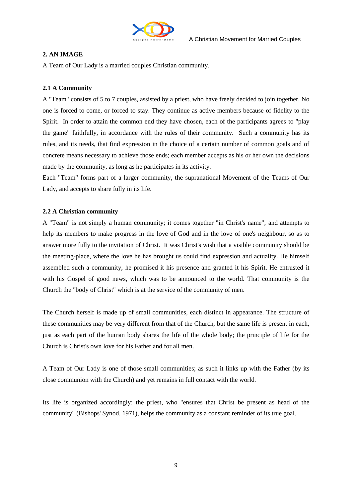

#### **2. AN IMAGE**

A Team of Our Lady is a married couples Christian community.

#### **2.1 A Community**

A "Team" consists of 5 to 7 couples, assisted by a priest, who have freely decided to join together. No one is forced to come, or forced to stay. They continue as active members because of fidelity to the Spirit. In order to attain the common end they have chosen, each of the participants agrees to "play the game" faithfully, in accordance with the rules of their community. Such a community has its rules, and its needs, that find expression in the choice of a certain number of common goals and of concrete means necessary to achieve those ends; each member accepts as his or her own the decisions made by the community, as long as he participates in its activity.

Each "Team" forms part of a larger community, the supranational Movement of the Teams of Our Lady, and accepts to share fully in its life.

#### **2.2 A Christian community**

A "Team" is not simply a human community; it comes together "in Christ's name", and attempts to help its members to make progress in the love of God and in the love of one's neighbour, so as to answer more fully to the invitation of Christ. It was Christ's wish that a visible community should be the meeting-place, where the love he has brought us could find expression and actuality. He himself assembled such a community, he promised it his presence and granted it his Spirit. He entrusted it with his Gospel of good news, which was to be announced to the world. That community is the Church the "body of Christ" which is at the service of the community of men.

The Church herself is made up of small communities, each distinct in appearance. The structure of these communities may be very different from that of the Church, but the same life is present in each, just as each part of the human body shares the life of the whole body; the principle of life for the Church is Christ's own love for his Father and for all men.

A Team of Our Lady is one of those small communities; as such it links up with the Father (by its close communion with the Church) and yet remains in full contact with the world.

Its life is organized accordingly: the priest, who "ensures that Christ be present as head of the community" (Bishops' Synod, 1971), helps the community as a constant reminder of its true goal.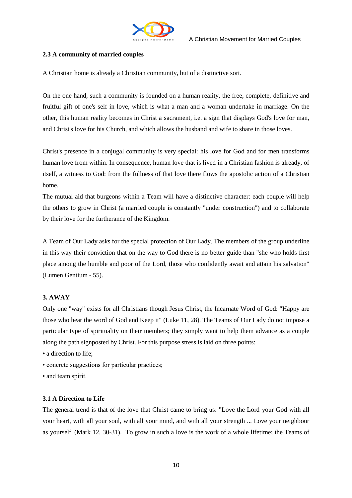

#### **2.3 A community of married couples**

A Christian home is already a Christian community, but of a distinctive sort.

On the one hand, such a community is founded on a human reality, the free, complete, definitive and fruitful gift of one's self in love, which is what a man and a woman undertake in marriage. On the other, this human reality becomes in Christ a sacrament, i.e. a sign that displays God's love for man, and Christ's love for his Church, and which allows the husband and wife to share in those loves.

Christ's presence in a conjugal community is very special: his love for God and for men transforms human love from within. In consequence, human love that is lived in a Christian fashion is already, of itself, a witness to God: from the fullness of that love there flows the apostolic action of a Christian home.

The mutual aid that burgeons within a Team will have a distinctive character: each couple will help the others to grow in Christ (a married couple is constantly "under construction") and to collaborate by their love for the furtherance of the Kingdom.

A Team of Our Lady asks for the special protection of Our Lady. The members of the group underline in this way their conviction that on the way to God there is no better guide than "she who holds first place among the humble and poor of the Lord, those who confidently await and attain his salvation" (Lumen Gentium - 55).

#### **3. AWAY**

Only one "way" exists for all Christians though Jesus Christ, the Incarnate Word of God: "Happy are those who hear the word of God and Keep it" (Luke 11, 28). The Teams of Our Lady do not impose a particular type of spirituality on their members; they simply want to help them advance as a couple along the path signposted by Christ. For this purpose stress is laid on three points:

- a direction to life:
- concrete suggestions for particular practices;
- and team spirit.

#### **3.1 A Direction to Life**

The general trend is that of the love that Christ came to bring us: "Love the Lord your God with all your heart, with all your soul, with all your mind, and with all your strength ... Love your neighbour as yourself' (Mark 12, 30-31). To grow in such a love is the work of a whole lifetime; the Teams of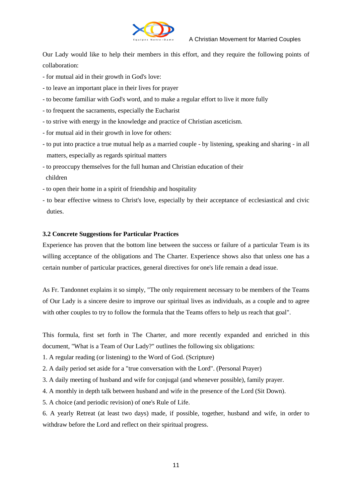

Our Lady would like to help their members in this effort, and they require the following points of collaboration:

- for mutual aid in their growth in God's love:
- to leave an important place in their lives for prayer
- to become familiar with God's word, and to make a regular effort to live it more fully
- to frequent the sacraments, especially the Eucharist
- to strive with energy in the knowledge and practice of Christian asceticism.
- for mutual aid in their growth in love for others:
- to put into practice a true mutual help as a married couple by listening, speaking and sharing in all matters, especially as regards spiritual matters
- to preoccupy themselves for the full human and Christian education of their children
- to open their home in a spirit of friendship and hospitality
- to bear effective witness to Christ's love, especially by their acceptance of ecclesiastical and civic duties.

#### **3.2 Concrete Suggestions for Particular Practices**

Experience has proven that the bottom line between the success or failure of a particular Team is its willing acceptance of the obligations and The Charter. Experience shows also that unless one has a certain number of particular practices, general directives for one's life remain a dead issue.

As Fr. Tandonnet explains it so simply, "The only requirement necessary to be members of the Teams of Our Lady is a sincere desire to improve our spiritual lives as individuals, as a couple and to agree with other couples to try to follow the formula that the Teams offers to help us reach that goal".

This formula, first set forth in The Charter, and more recently expanded and enriched in this document, "What is a Team of Our Lady?" outlines the following six obligations:

- 1. A regular reading (or listening) to the Word of God. (Scripture)
- 2. A daily period set aside for a "true conversation with the Lord". (Personal Prayer)
- 3. A daily meeting of husband and wife for conjugal (and whenever possible), family prayer.
- 4. A monthly in depth talk between husband and wife in the presence of the Lord (Sit Down).
- 5. A choice (and periodic revision) of one's Rule of Life.

6. A yearly Retreat (at least two days) made, if possible, together, husband and wife, in order to withdraw before the Lord and reflect on their spiritual progress.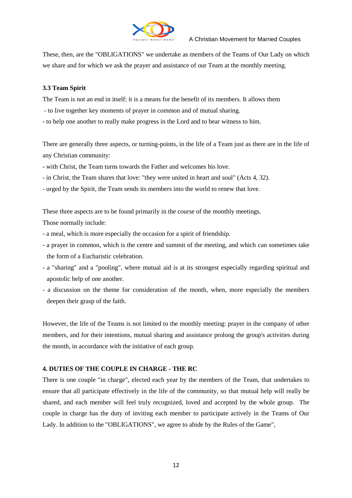

These, then, are the "OBLIGATIONS" we undertake as members of the Teams of Our Lady on which we share and for which we ask the prayer and assistance of our Team at the monthly meeting.

#### **3.3 Team Spirit**

The Team is not an end in itself: it is a means for the benefit of its members. It allows them

- to live together key moments of prayer in common and of mutual sharing.

- to help one another to really make progress in the Lord and to bear witness to him.

There are generally three aspects, or turning-points, in the life of a Team just as there are in the life of any Christian community:

- with Christ, the Team turns towards the Father and welcomes his love.

- in Christ, the Team shares that love: "they were united in heart and soul" (Acts 4, 32).

- urged by the Spirit, the Team sends its members into the world to renew that love.

These three aspects are to be found primarily in the course of the monthly meetings.

Those normally include:

- a meal, which is more especially the occasion for a spirit of friendship.
- a prayer in common, which is the centre and summit of the meeting, and which can sometimes take the form of a Eucharistic celebration.
- a "sharing" and a "pooling", where mutual aid is at its strongest especially regarding spiritual and apostolic help of one another.
- a discussion on the theme for consideration of the month, when, more especially the members deepen their grasp of the faith.

However, the life of the Teams is not limited to the monthly meeting: prayer in the company of other members, and for their intentions, mutual sharing and assistance prolong the group's activities during the month, in accordance with the initiative of each group.

#### **4. DUTIES OF THE COUPLE IN CHARGE - THE RC**

There is one couple "in charge", elected each year by the members of the Team, that undertakes to ensure that all participate effectively in the life of the community, so that mutual help will really be shared, and each member will feel truly recognized, loved and accepted by the whole group. The couple in charge has the duty of inviting each member to participate actively in the Teams of Our Lady. In addition to the "OBLIGATIONS", we agree to abide by the Rules of the Game",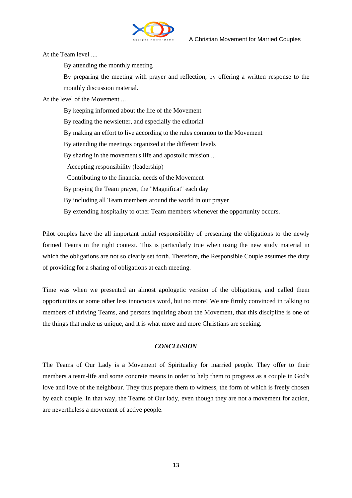

At the Team level ....

By attending the monthly meeting

By preparing the meeting with prayer and reflection, by offering a written response to the monthly discussion material.

At the level of the Movement ...

By keeping informed about the life of the Movement By reading the newsletter, and especially the editorial By making an effort to live according to the rules common to the Movement By attending the meetings organized at the different levels By sharing in the movement's life and apostolic mission ... Accepting responsibility (leadership) Contributing to the financial needs of the Movement By praying the Team prayer, the "Magnificat" each day By including all Team members around the world in our prayer By extending hospitality to other Team members whenever the opportunity occurs.

Pilot couples have the all important initial responsibility of presenting the obligations to the newly formed Teams in the right context. This is particularly true when using the new study material in which the obligations are not so clearly set forth. Therefore, the Responsible Couple assumes the duty of providing for a sharing of obligations at each meeting.

Time was when we presented an almost apologetic version of the obligations, and called them opportunities or some other less innocuous word, but no more! We are firmly convinced in talking to members of thriving Teams, and persons inquiring about the Movement, that this discipline is one of the things that make us unique, and it is what more and more Christians are seeking.

#### *CONCLUSION*

The Teams of Our Lady is a Movement of Spirituality for married people. They offer to their members a team-life and some concrete means in order to help them to progress as a couple in God's love and love of the neighbour. They thus prepare them to witness, the form of which is freely chosen by each couple. In that way, the Teams of Our lady, even though they are not a movement for action, are nevertheless a movement of active people.